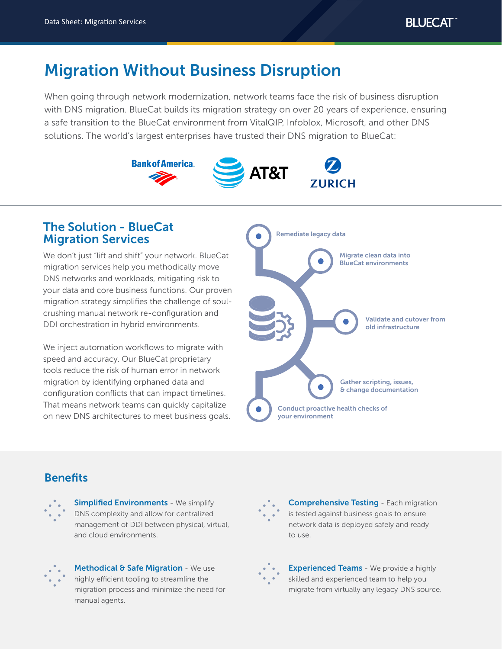# Migration Without Business Disruption

When going through network modernization, network teams face the risk of business disruption with DNS migration. BlueCat builds its migration strategy on over 20 years of experience, ensuring a safe transition to the BlueCat environment from VitalQIP, Infoblox, Microsoft, and other DNS solutions. The world's largest enterprises have trusted their DNS migration to BlueCat:



# The Solution - BlueCat Migration Services

We don't just "lift and shift" your network. BlueCat migration services help you methodically move DNS networks and workloads, mitigating risk to your data and core business functions. Our proven migration strategy simplifies the challenge of soulcrushing manual network re-configuration and DDI orchestration in hybrid environments.

We inject automation workflows to migrate with speed and accuracy. Our BlueCat proprietary tools reduce the risk of human error in network migration by identifying orphaned data and configuration conflicts that can impact timelines. That means network teams can quickly capitalize on new DNS architectures to meet business goals.



# **Benefits**



**Simplified Environments - We simplify** DNS complexity and allow for centralized management of DDI between physical, virtual, and cloud environments.



Methodical & Safe Migration - We use highly efficient tooling to streamline the migration process and minimize the need for manual agents.



**Comprehensive Testing - Each migration** is tested against business goals to ensure network data is deployed safely and ready to use.



**Experienced Teams** - We provide a highly skilled and experienced team to help you migrate from virtually any legacy DNS source.